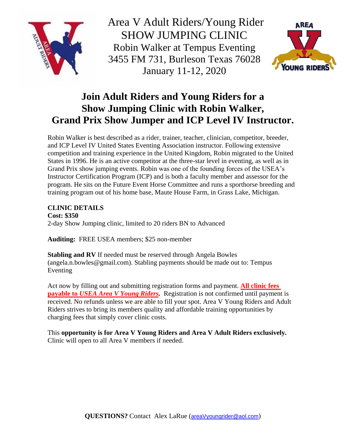

Area V Adult Riders/Young Rider SHOW JUMPING CLINIC Robin Walker at Tempus Eventing 3455 FM 731, Burleson Texas 76028 January 11-12, 2020



## **Join Adult Riders and Young Riders for a Show Jumping Clinic with Robin Walker, Grand Prix Show Jumper and ICP Level IV Instructor.**

Robin Walker is best described as a rider, trainer, teacher, clinician, competitor, breeder, and ICP Level IV United States Eventing Association instructor. Following extensive competition and training experience in the United Kingdom, Robin migrated to the United States in 1996. He is an active competitor at the three-star level in eventing, as well as in Grand Prix show jumping events. Robin was one of the founding forces of the USEA's Instructor Certification Program (ICP) and is both a faculty member and assessor for the program. He sits on the Future Event Horse Committee and runs a sporthorse breeding and training program out of his home base, Maute House Farm, in Grass Lake, Michigan.

## **CLINIC DETAILS**

**Cost: \$350** 2-day Show Jumping clinic, limited to 20 riders BN to Advanced

**Auditing:** FREE USEA members; \$25 non-member

**Stabling and RV** If needed must be reserved through Angela Bowles (angela.n.bowles@gmail.com). Stabling payments should be made out to: Tempus Eventing

Act now by filling out and submitting registration forms and payment. **All clinic fees payable to** *USEA Area V Young Riders.* Registration is not confirmed until payment is received. No refunds unless we are able to fill your spot. Area V Young Riders and Adult Riders strives to bring its members quality and affordable training opportunities by charging fees that simply cover clinic costs.

This **opportunity is for Area V Young Riders and Area V Adult Riders exclusively.**  Clinic will open to all Area V members if needed.